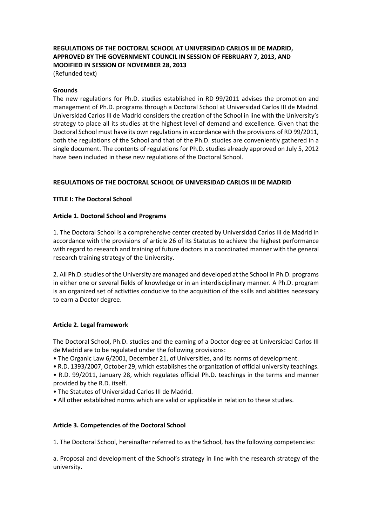# **REGULATIONS OF THE DOCTORAL SCHOOL AT UNIVERSIDAD CARLOS III DE MADRID, APPROVED BY THE GOVERNMENT COUNCIL IN SESSION OF FEBRUARY 7, 2013, AND MODIFIED IN SESSION OF NOVEMBER 28, 2013**

(Refunded text)

# **Grounds**

The new regulations for Ph.D. studies established in RD 99/2011 advises the promotion and management of Ph.D. programs through a Doctoral School at Universidad Carlos III de Madrid. Universidad Carlos III de Madrid considers the creation of the School in line with the University's strategy to place all its studies at the highest level of demand and excellence. Given that the Doctoral School must have its own regulations in accordance with the provisions of RD 99/2011, both the regulations of the School and that of the Ph.D. studies are conveniently gathered in a single document. The contents of regulations for Ph.D. studies already approved on July 5, 2012 have been included in these new regulations of the Doctoral School.

# **REGULATIONS OF THE DOCTORAL SCHOOL OF UNIVERSIDAD CARLOS III DE MADRID**

# **TITLE I: The Doctoral School**

# **Article 1. Doctoral School and Programs**

1. The Doctoral School is a comprehensive center created by Universidad Carlos III de Madrid in accordance with the provisions of article 26 of its Statutes to achieve the highest performance with regard to research and training of future doctors in a coordinated manner with the general research training strategy of the University.

2. All Ph.D. studies of the University are managed and developed at the School in Ph.D. programs in either one or several fields of knowledge or in an interdisciplinary manner. A Ph.D. program is an organized set of activities conducive to the acquisition of the skills and abilities necessary to earn a Doctor degree.

# **Article 2. Legal framework**

The Doctoral School, Ph.D. studies and the earning of a Doctor degree at Universidad Carlos III de Madrid are to be regulated under the following provisions:

- The Organic Law 6/2001, December 21, of Universities, and its norms of development.
- R.D. 1393/2007, October 29, which establishes the organization of official university teachings.
- R.D. 99/2011, January 28, which regulates official Ph.D. teachings in the terms and manner provided by the R.D. itself.
- The Statutes of Universidad Carlos III de Madrid.
- All other established norms which are valid or applicable in relation to these studies.

# **Article 3. Competencies of the Doctoral School**

1. The Doctoral School, hereinafter referred to as the School, has the following competencies:

a. Proposal and development of the School's strategy in line with the research strategy of the university.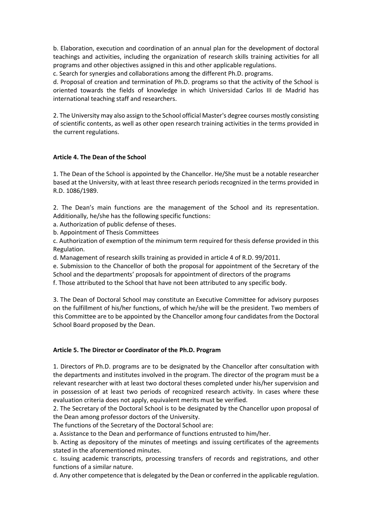b. Elaboration, execution and coordination of an annual plan for the development of doctoral teachings and activities, including the organization of research skills training activities for all programs and other objectives assigned in this and other applicable regulations.

c. Search for synergies and collaborations among the different Ph.D. programs.

d. Proposal of creation and termination of Ph.D. programs so that the activity of the School is oriented towards the fields of knowledge in which Universidad Carlos III de Madrid has international teaching staff and researchers.

2. The University may also assign to the School official Master's degree courses mostly consisting of scientific contents, as well as other open research training activities in the terms provided in the current regulations.

# **Article 4. The Dean of the School**

1. The Dean of the School is appointed by the Chancellor. He/She must be a notable researcher based at the University, with at least three research periods recognized in the terms provided in R.D. 1086/1989.

2. The Dean's main functions are the management of the School and its representation. Additionally, he/she has the following specific functions:

a. Authorization of public defense of theses.

b. Appointment of Thesis Committees

c. Authorization of exemption of the minimum term required for thesis defense provided in this Regulation.

d. Management of research skills training as provided in article 4 of R.D. 99/2011.

e. Submission to the Chancellor of both the proposal for appointment of the Secretary of the School and the departments' proposals for appointment of directors of the programs

f. Those attributed to the School that have not been attributed to any specific body.

3. The Dean of Doctoral School may constitute an Executive Committee for advisory purposes on the fulfillment of his/her functions, of which he/she will be the president. Two members of this Committee are to be appointed by the Chancellor among four candidates from the Doctoral School Board proposed by the Dean.

# **Article 5. The Director or Coordinator of the Ph.D. Program**

1. Directors of Ph.D. programs are to be designated by the Chancellor after consultation with the departments and institutes involved in the program. The director of the program must be a relevant researcher with at least two doctoral theses completed under his/her supervision and in possession of at least two periods of recognized research activity. In cases where these evaluation criteria does not apply, equivalent merits must be verified.

2. The Secretary of the Doctoral School is to be designated by the Chancellor upon proposal of the Dean among professor doctors of the University.

The functions of the Secretary of the Doctoral School are:

a. Assistance to the Dean and performance of functions entrusted to him/her.

b. Acting as depository of the minutes of meetings and issuing certificates of the agreements stated in the aforementioned minutes.

c. Issuing academic transcripts, processing transfers of records and registrations, and other functions of a similar nature.

d. Any other competence that is delegated by the Dean or conferred in the applicable regulation.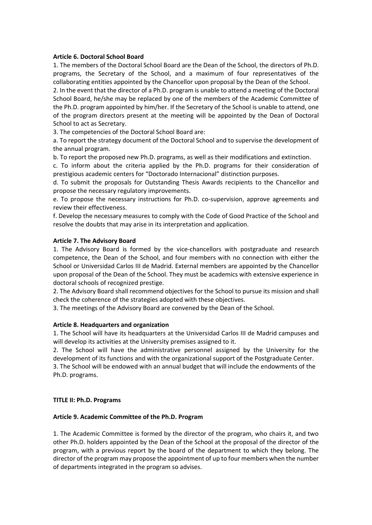### **Article 6. Doctoral School Board**

1. The members of the Doctoral School Board are the Dean of the School, the directors of Ph.D. programs, the Secretary of the School, and a maximum of four representatives of the collaborating entities appointed by the Chancellor upon proposal by the Dean of the School.

2. In the event that the director of a Ph.D. program is unable to attend a meeting of the Doctoral School Board, he/she may be replaced by one of the members of the Academic Committee of the Ph.D. program appointed by him/her. If the Secretary of the School is unable to attend, one of the program directors present at the meeting will be appointed by the Dean of Doctoral School to act as Secretary.

3. The competencies of the Doctoral School Board are:

a. To report the strategy document of the Doctoral School and to supervise the development of the annual program.

b. To report the proposed new Ph.D. programs, as well as their modifications and extinction.

c. To inform about the criteria applied by the Ph.D. programs for their consideration of prestigious academic centers for "Doctorado Internacional" distinction purposes.

d. To submit the proposals for Outstanding Thesis Awards recipients to the Chancellor and propose the necessary regulatory improvements.

e. To propose the necessary instructions for Ph.D. co-supervision, approve agreements and review their effectiveness.

f. Develop the necessary measures to comply with the Code of Good Practice of the School and resolve the doubts that may arise in its interpretation and application.

#### **Article 7. The Advisory Board**

1. The Advisory Board is formed by the vice-chancellors with postgraduate and research competence, the Dean of the School, and four members with no connection with either the School or Universidad Carlos III de Madrid. External members are appointed by the Chancellor upon proposal of the Dean of the School. They must be academics with extensive experience in doctoral schools of recognized prestige.

2. The Advisory Board shall recommend objectives for the School to pursue its mission and shall check the coherence of the strategies adopted with these objectives.

3. The meetings of the Advisory Board are convened by the Dean of the School.

# **Article 8. Headquarters and organization**

1. The School will have its headquarters at the Universidad Carlos III de Madrid campuses and will develop its activities at the University premises assigned to it.

2. The School will have the administrative personnel assigned by the University for the development of its functions and with the organizational support of the Postgraduate Center.

3. The School will be endowed with an annual budget that will include the endowments of the Ph.D. programs.

# **TITLE II: Ph.D. Programs**

#### **Article 9. Academic Committee of the Ph.D. Program**

1. The Academic Committee is formed by the director of the program, who chairs it, and two other Ph.D. holders appointed by the Dean of the School at the proposal of the director of the program, with a previous report by the board of the department to which they belong. The director of the program may propose the appointment of up to four members when the number of departments integrated in the program so advises.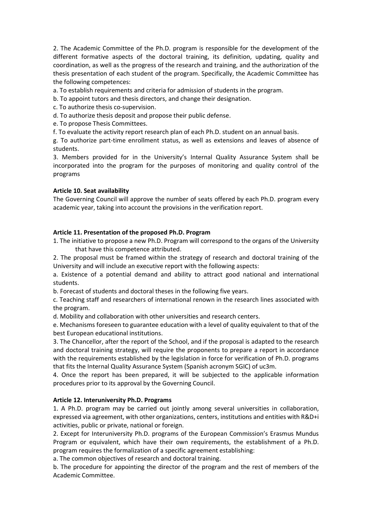2. The Academic Committee of the Ph.D. program is responsible for the development of the different formative aspects of the doctoral training, its definition, updating, quality and coordination, as well as the progress of the research and training, and the authorization of the thesis presentation of each student of the program. Specifically, the Academic Committee has the following competences:

a. To establish requirements and criteria for admission of students in the program.

b. To appoint tutors and thesis directors, and change their designation.

- c. To authorize thesis co-supervision.
- d. To authorize thesis deposit and propose their public defense.
- e. To propose Thesis Committees.

f. To evaluate the activity report research plan of each Ph.D. student on an annual basis.

g. To authorize part-time enrollment status, as well as extensions and leaves of absence of students.

3. Members provided for in the University's Internal Quality Assurance System shall be incorporated into the program for the purposes of monitoring and quality control of the programs

# **Article 10. Seat availability**

The Governing Council will approve the number of seats offered by each Ph.D. program every academic year, taking into account the provisions in the verification report.

# **Article 11. Presentation of the proposed Ph.D. Program**

1. The initiative to propose a new Ph.D. Program will correspond to the organs of the University that have this competence attributed.

2. The proposal must be framed within the strategy of research and doctoral training of the University and will include an executive report with the following aspects:

a. Existence of a potential demand and ability to attract good national and international students.

b. Forecast of students and doctoral theses in the following five years.

c. Teaching staff and researchers of international renown in the research lines associated with the program.

d. Mobility and collaboration with other universities and research centers.

e. Mechanisms foreseen to guarantee education with a level of quality equivalent to that of the best European educational institutions.

3. The Chancellor, after the report of the School, and if the proposal is adapted to the research and doctoral training strategy, will require the proponents to prepare a report in accordance with the requirements established by the legislation in force for verification of Ph.D. programs that fits the Internal Quality Assurance System (Spanish acronym SGIC) of uc3m.

4. Once the report has been prepared, it will be subjected to the applicable information procedures prior to its approval by the Governing Council.

# **Article 12. Interuniversity Ph.D. Programs**

1. A Ph.D. program may be carried out jointly among several universities in collaboration, expressed via agreement, with other organizations, centers, institutions and entities with R&D+i activities, public or private, national or foreign.

2. Except for Interuniversity Ph.D. programs of the European Commission's Erasmus Mundus Program or equivalent, which have their own requirements, the establishment of a Ph.D. program requires the formalization of a specific agreement establishing:

a. The common objectives of research and doctoral training.

b. The procedure for appointing the director of the program and the rest of members of the Academic Committee.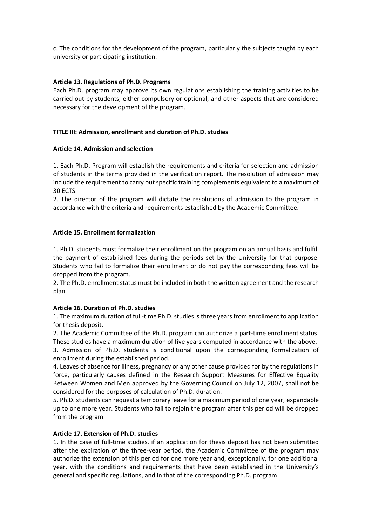c. The conditions for the development of the program, particularly the subjects taught by each university or participating institution.

# **Article 13. Regulations of Ph.D. Programs**

Each Ph.D. program may approve its own regulations establishing the training activities to be carried out by students, either compulsory or optional, and other aspects that are considered necessary for the development of the program.

# **TITLE III: Admission, enrollment and duration of Ph.D. studies**

# **Article 14. Admission and selection**

1. Each Ph.D. Program will establish the requirements and criteria for selection and admission of students in the terms provided in the verification report. The resolution of admission may include the requirement to carry out specific training complements equivalent to a maximum of 30 ECTS.

2. The director of the program will dictate the resolutions of admission to the program in accordance with the criteria and requirements established by the Academic Committee.

# **Article 15. Enrollment formalization**

1. Ph.D. students must formalize their enrollment on the program on an annual basis and fulfill the payment of established fees during the periods set by the University for that purpose. Students who fail to formalize their enrollment or do not pay the corresponding fees will be dropped from the program.

2. The Ph.D. enrollment status must be included in both the written agreement and the research plan.

# **Article 16. Duration of Ph.D. studies**

1. The maximum duration of full-time Ph.D. studies is three yearsfrom enrollment to application for thesis deposit.

2. The Academic Committee of the Ph.D. program can authorize a part-time enrollment status. These studies have a maximum duration of five years computed in accordance with the above.

3. Admission of Ph.D. students is conditional upon the corresponding formalization of enrollment during the established period.

4. Leaves of absence for illness, pregnancy or any other cause provided for by the regulations in force, particularly causes defined in the Research Support Measures for Effective Equality Between Women and Men approved by the Governing Council on July 12, 2007, shall not be considered for the purposes of calculation of Ph.D. duration.

5. Ph.D. students can request a temporary leave for a maximum period of one year, expandable up to one more year. Students who fail to rejoin the program after this period will be dropped from the program.

# **Article 17. Extension of Ph.D. studies**

1. In the case of full-time studies, if an application for thesis deposit has not been submitted after the expiration of the three-year period, the Academic Committee of the program may authorize the extension of this period for one more year and, exceptionally, for one additional year, with the conditions and requirements that have been established in the University's general and specific regulations, and in that of the corresponding Ph.D. program.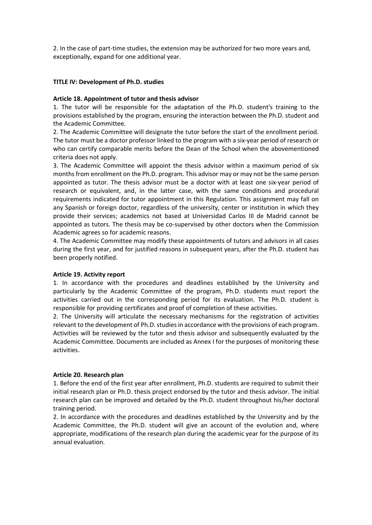2. In the case of part-time studies, the extension may be authorized for two more years and, exceptionally, expand for one additional year.

#### **TITLE IV: Development of Ph.D. studies**

#### **Article 18. Appointment of tutor and thesis advisor**

1. The tutor will be responsible for the adaptation of the Ph.D. student's training to the provisions established by the program, ensuring the interaction between the Ph.D. student and the Academic Committee.

2. The Academic Committee will designate the tutor before the start of the enrollment period. The tutor must be a doctor professor linked to the program with a six-year period of research or who can certify comparable merits before the Dean of the School when the abovementioned criteria does not apply.

3. The Academic Committee will appoint the thesis advisor within a maximum period of six months from enrollment on the Ph.D. program. This advisor may or may not be the same person appointed as tutor. The thesis advisor must be a doctor with at least one six-year period of research or equivalent, and, in the latter case, with the same conditions and procedural requirements indicated for tutor appointment in this Regulation. This assignment may fall on any Spanish or foreign doctor, regardless of the university, center or institution in which they provide their services; academics not based at Universidad Carlos III de Madrid cannot be appointed as tutors. The thesis may be co-supervised by other doctors when the Commission Academic agrees so for academic reasons.

4. The Academic Committee may modify these appointments of tutors and advisors in all cases during the first year, and for justified reasons in subsequent years, after the Ph.D. student has been properly notified.

# **Article 19. Activity report**

1. In accordance with the procedures and deadlines established by the University and particularly by the Academic Committee of the program, Ph.D. students must report the activities carried out in the corresponding period for its evaluation. The Ph.D. student is responsible for providing certificates and proof of completion of these activities.

2. The University will articulate the necessary mechanisms for the registration of activities relevant to the development of Ph.D. studies in accordance with the provisions of each program. Activities will be reviewed by the tutor and thesis advisor and subsequently evaluated by the Academic Committee. Documents are included as Annex I for the purposes of monitoring these activities.

# **Article 20. Research plan**

1. Before the end of the first year after enrollment, Ph.D. students are required to submit their initial research plan or Ph.D. thesis project endorsed by the tutor and thesis advisor. The initial research plan can be improved and detailed by the Ph.D. student throughout his/her doctoral training period.

2. In accordance with the procedures and deadlines established by the University and by the Academic Committee, the Ph.D. student will give an account of the evolution and, where appropriate, modifications of the research plan during the academic year for the purpose of its annual evaluation.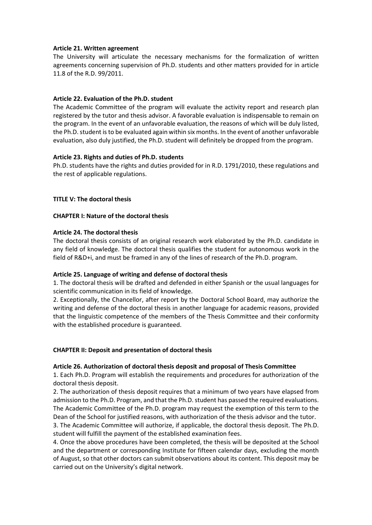# **Article 21. Written agreement**

The University will articulate the necessary mechanisms for the formalization of written agreements concerning supervision of Ph.D. students and other matters provided for in article 11.8 of the R.D. 99/2011.

### **Article 22. Evaluation of the Ph.D. student**

The Academic Committee of the program will evaluate the activity report and research plan registered by the tutor and thesis advisor. A favorable evaluation is indispensable to remain on the program. In the event of an unfavorable evaluation, the reasons of which will be duly listed, the Ph.D. student isto be evaluated again within six months. In the event of another unfavorable evaluation, also duly justified, the Ph.D. student will definitely be dropped from the program.

#### **Article 23. Rights and duties of Ph.D. students**

Ph.D. students have the rights and duties provided for in R.D. 1791/2010, these regulations and the rest of applicable regulations.

# **TITLE V: The doctoral thesis**

#### **CHAPTER I: Nature of the doctoral thesis**

#### **Article 24. The doctoral thesis**

The doctoral thesis consists of an original research work elaborated by the Ph.D. candidate in any field of knowledge. The doctoral thesis qualifies the student for autonomous work in the field of R&D+i, and must be framed in any of the lines of research of the Ph.D. program.

# **Article 25. Language of writing and defense of doctoral thesis**

1. The doctoral thesis will be drafted and defended in either Spanish or the usual languages for scientific communication in its field of knowledge.

2. Exceptionally, the Chancellor, after report by the Doctoral School Board, may authorize the writing and defense of the doctoral thesis in another language for academic reasons, provided that the linguistic competence of the members of the Thesis Committee and their conformity with the established procedure is guaranteed.

# **CHAPTER II: Deposit and presentation of doctoral thesis**

#### **Article 26. Authorization of doctoral thesis deposit and proposal of Thesis Committee**

1. Each Ph.D. Program will establish the requirements and procedures for authorization of the doctoral thesis deposit.

2. The authorization of thesis deposit requires that a minimum of two years have elapsed from admission to the Ph.D. Program, and that the Ph.D. student has passed the required evaluations. The Academic Committee of the Ph.D. program may request the exemption of this term to the Dean of the School for justified reasons, with authorization of the thesis advisor and the tutor.

3. The Academic Committee will authorize, if applicable, the doctoral thesis deposit. The Ph.D. student will fulfill the payment of the established examination fees.

4. Once the above procedures have been completed, the thesis will be deposited at the School and the department or corresponding Institute for fifteen calendar days, excluding the month of August, so that other doctors can submit observations about its content. This deposit may be carried out on the University's digital network.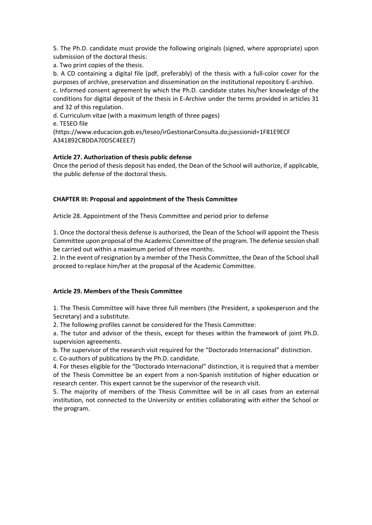5. The Ph.D. candidate must provide the following originals (signed, where appropriate) upon submission of the doctoral thesis:

a. Two print copies of the thesis.

b. A CD containing a digital file (pdf, preferably) of the thesis with a full-color cover for the purposes of archive, preservation and dissemination on the institutional repository E-archivo.

c. Informed consent agreement by which the Ph.D. candidate states his/her knowledge of the conditions for digital deposit of the thesis in E-Archive under the terms provided in articles 31 and 32 of this regulation.

d. Curriculum vitae (with a maximum length of three pages)

e. TESEO file

(https://www.educacion.gob.es/teseo/irGestionarConsulta.do;jsessionid=1F81E9ECF A341892CBDDA70D5C4EEE7)

# **Article 27. Authorization of thesis public defense**

Once the period of thesis deposit has ended, the Dean of the School will authorize, if applicable, the public defense of the doctoral thesis.

# **CHAPTER III: Proposal and appointment of the Thesis Committee**

Article 28. Appointment of the Thesis Committee and period prior to defense

1. Once the doctoral thesis defense is authorized, the Dean of the School will appoint the Thesis Committee upon proposal of the Academic Committee of the program. The defense session shall be carried out within a maximum period of three months.

2. In the event of resignation by a member of the Thesis Committee, the Dean of the School shall proceed to replace him/her at the proposal of the Academic Committee.

# **Article 29. Members of the Thesis Committee**

1. The Thesis Committee will have three full members (the President, a spokesperson and the Secretary) and a substitute.

2. The following profiles cannot be considered for the Thesis Committee:

a. The tutor and advisor of the thesis, except for theses within the framework of joint Ph.D. supervision agreements.

b. The supervisor of the research visit required for the "Doctorado Internacional" distinction.

c. Co-authors of publications by the Ph.D. candidate.

4. For theses eligible for the "Doctorado Internacional" distinction, it is required that a member of the Thesis Committee be an expert from a non-Spanish institution of higher education or research center. This expert cannot be the supervisor of the research visit.

5. The majority of members of the Thesis Committee will be in all cases from an external institution, not connected to the University or entities collaborating with either the School or the program.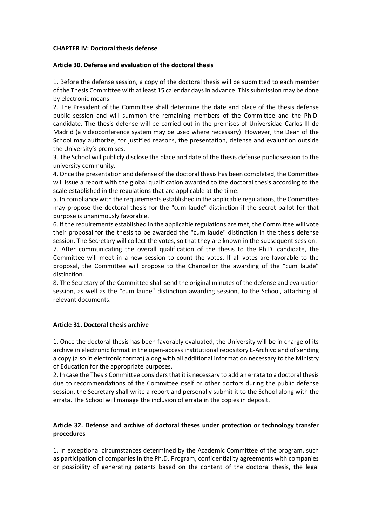# **CHAPTER IV: Doctoral thesis defense**

### **Article 30. Defense and evaluation of the doctoral thesis**

1. Before the defense session, a copy of the doctoral thesis will be submitted to each member of the Thesis Committee with at least 15 calendar days in advance. This submission may be done by electronic means.

2. The President of the Committee shall determine the date and place of the thesis defense public session and will summon the remaining members of the Committee and the Ph.D. candidate. The thesis defense will be carried out in the premises of Universidad Carlos III de Madrid (a videoconference system may be used where necessary). However, the Dean of the School may authorize, for justified reasons, the presentation, defense and evaluation outside the University's premises.

3. The School will publicly disclose the place and date of the thesis defense public session to the university community.

4. Once the presentation and defense of the doctoral thesis has been completed, the Committee will issue a report with the global qualification awarded to the doctoral thesis according to the scale established in the regulations that are applicable at the time.

5. In compliance with the requirements established in the applicable regulations, the Committee may propose the doctoral thesis for the "cum laude" distinction if the secret ballot for that purpose is unanimously favorable.

6. If the requirements established in the applicable regulations are met, the Committee will vote their proposal for the thesis to be awarded the "cum laude" distinction in the thesis defense session. The Secretary will collect the votes, so that they are known in the subsequent session.

7. After communicating the overall qualification of the thesis to the Ph.D. candidate, the Committee will meet in a new session to count the votes. If all votes are favorable to the proposal, the Committee will propose to the Chancellor the awarding of the "cum laude" distinction.

8. The Secretary of the Committee shall send the original minutes of the defense and evaluation session, as well as the "cum laude" distinction awarding session, to the School, attaching all relevant documents.

# **Article 31. Doctoral thesis archive**

1. Once the doctoral thesis has been favorably evaluated, the University will be in charge of its archive in electronic format in the open-access institutional repository E-Archivo and of sending a copy (also in electronic format) along with all additional information necessary to the Ministry of Education for the appropriate purposes.

2. In case the Thesis Committee considers that it is necessary to add an errata to a doctoral thesis due to recommendations of the Committee itself or other doctors during the public defense session, the Secretary shall write a report and personally submit it to the School along with the errata. The School will manage the inclusion of errata in the copies in deposit.

# **Article 32. Defense and archive of doctoral theses under protection or technology transfer procedures**

1. In exceptional circumstances determined by the Academic Committee of the program, such as participation of companies in the Ph.D. Program, confidentiality agreements with companies or possibility of generating patents based on the content of the doctoral thesis, the legal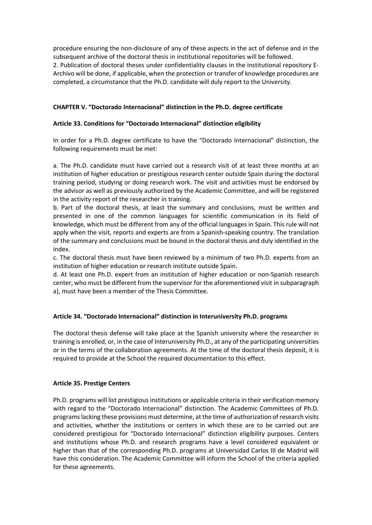procedure ensuring the non-disclosure of any of these aspects in the act of defense and in the subsequent archive of the doctoral thesis in institutional repositories will be followed. 2. Publication of doctoral theses under confidentiality clauses in the institutional repository E-Archivo will be done, if applicable, when the protection or transfer of knowledge procedures are completed, a circumstance that the Ph.D. candidate will duly report to the University.

# **CHAPTER V. "Doctorado Internacional" distinction in the Ph.D. degree certificate**

# **Article 33. Conditions for "Doctorado Internacional" distinction eligibility**

In order for a Ph.D. degree certificate to have the "Doctorado Internacional" distinction, the following requirements must be met:

a. The Ph.D. candidate must have carried out a research visit of at least three months at an institution of higher education or prestigious research center outside Spain during the doctoral training period, studying or doing research work. The visit and activities must be endorsed by the advisor as well as previously authorized by the Academic Committee, and will be registered in the activity report of the researcher in training.

b. Part of the doctoral thesis, at least the summary and conclusions, must be written and presented in one of the common languages for scientific communication in its field of knowledge, which must be different from any of the official languages in Spain. This rule will not apply when the visit, reports and experts are from a Spanish-speaking country. The translation of the summary and conclusions must be bound in the doctoral thesis and duly identified in the index.

c. The doctoral thesis must have been reviewed by a minimum of two Ph.D. experts from an institution of higher education or research institute outside Spain.

d. At least one Ph.D. expert from an institution of higher education or non-Spanish research center, who must be different from the supervisor for the aforementioned visit in subparagraph a), must have been a member of the Thesis Committee.

# **Article 34. "Doctorado Internacional" distinction in Interuniversity Ph.D. programs**

The doctoral thesis defense will take place at the Spanish university where the researcher in training is enrolled, or, in the case of Interuniversity Ph.D., at any of the participating universities or in the terms of the collaboration agreements. At the time of the doctoral thesis deposit, it is required to provide at the School the required documentation to this effect.

# **Article 35. Prestige Centers**

Ph.D. programs will list prestigious institutions or applicable criteria in their verification memory with regard to the "Doctorado Internacional" distinction. The Academic Committees of Ph.D. programs lacking these provisions must determine, at the time of authorization of research visits and activities, whether the institutions or centers in which these are to be carried out are considered prestigious for "Doctorado Internacional" distinction eligibility purposes. Centers and institutions whose Ph.D. and research programs have a level considered equivalent or higher than that of the corresponding Ph.D. programs at Universidad Carlos III de Madrid will have this consideration. The Academic Committee will inform the School of the criteria applied for these agreements.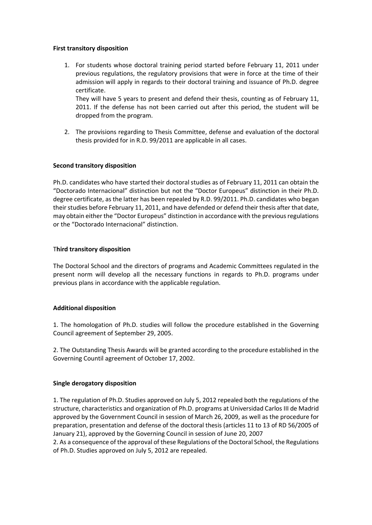# **First transitory disposition**

1. For students whose doctoral training period started before February 11, 2011 under previous regulations, the regulatory provisions that were in force at the time of their admission will apply in regards to their doctoral training and issuance of Ph.D. degree certificate.

They will have 5 years to present and defend their thesis, counting as of February 11, 2011. If the defense has not been carried out after this period, the student will be dropped from the program.

2. The provisions regarding to Thesis Committee, defense and evaluation of the doctoral thesis provided for in R.D. 99/2011 are applicable in all cases.

# **Second transitory disposition**

Ph.D. candidates who have started their doctoral studies as of February 11, 2011 can obtain the "Doctorado Internacional" distinction but not the "Doctor Europeus" distinction in their Ph.D. degree certificate, as the latter has been repealed by R.D. 99/2011. Ph.D. candidates who began their studies before February 11, 2011, and have defended or defend their thesis after that date, may obtain either the "Doctor Europeus" distinction in accordance with the previous regulations or the "Doctorado Internacional" distinction.

#### T**hird transitory disposition**

The Doctoral School and the directors of programs and Academic Committees regulated in the present norm will develop all the necessary functions in regards to Ph.D. programs under previous plans in accordance with the applicable regulation.

#### **Additional disposition**

1. The homologation of Ph.D. studies will follow the procedure established in the Governing Council agreement of September 29, 2005.

2. The Outstanding Thesis Awards will be granted according to the procedure established in the Governing Countil agreement of October 17, 2002.

# **Single derogatory disposition**

1. The regulation of Ph.D. Studies approved on July 5, 2012 repealed both the regulations of the structure, characteristics and organization of Ph.D. programs at Universidad Carlos III de Madrid approved by the Government Council in session of March 26, 2009, as well as the procedure for preparation, presentation and defense of the doctoral thesis (articles 11 to 13 of RD 56/2005 of January 21), approved by the Governing Council in session of June 20, 2007

2. As a consequence of the approval of these Regulations of the Doctoral School, the Regulations of Ph.D. Studies approved on July 5, 2012 are repealed.